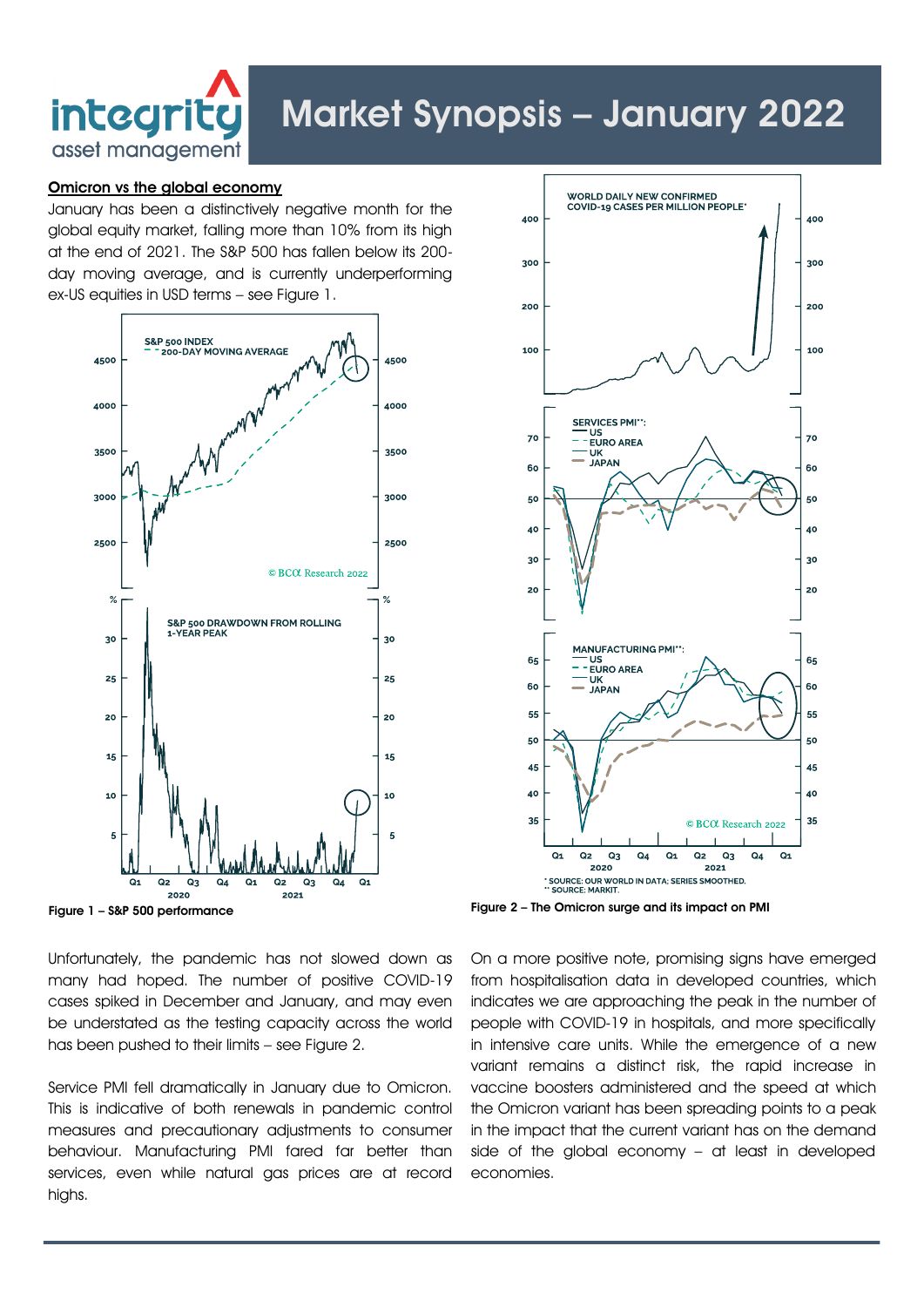

# Market Synopsis – January 2022

# Omicron vs the global economy

January has been a distinctively negative month for the global equity market, falling more than 10% from its high at the end of 2021. The S&P 500 has fallen below its 200 day moving average, and is currently underperforming ex-US equities in USD terms – see Figure 1.





Unfortunately, the pandemic has not slowed down as many had hoped. The number of positive COVID-19 cases spiked in December and January, and may even be understated as the testing capacity across the world has been pushed to their limits – see Figure 2.

Service PMI fell dramatically in January due to Omicron. This is indicative of both renewals in pandemic control measures and precautionary adjustments to consumer behaviour. Manufacturing PMI fared far better than services, even while natural gas prices are at record highs.

On a more positive note, promising signs have emerged from hospitalisation data in developed countries, which indicates we are approaching the peak in the number of people with COVID-19 in hospitals, and more specifically in intensive care units. While the emergence of a new variant remains a distinct risk, the rapid increase in vaccine boosters administered and the speed at which the Omicron variant has been spreading points to a peak in the impact that the current variant has on the demand side of the global economy – at least in developed economies.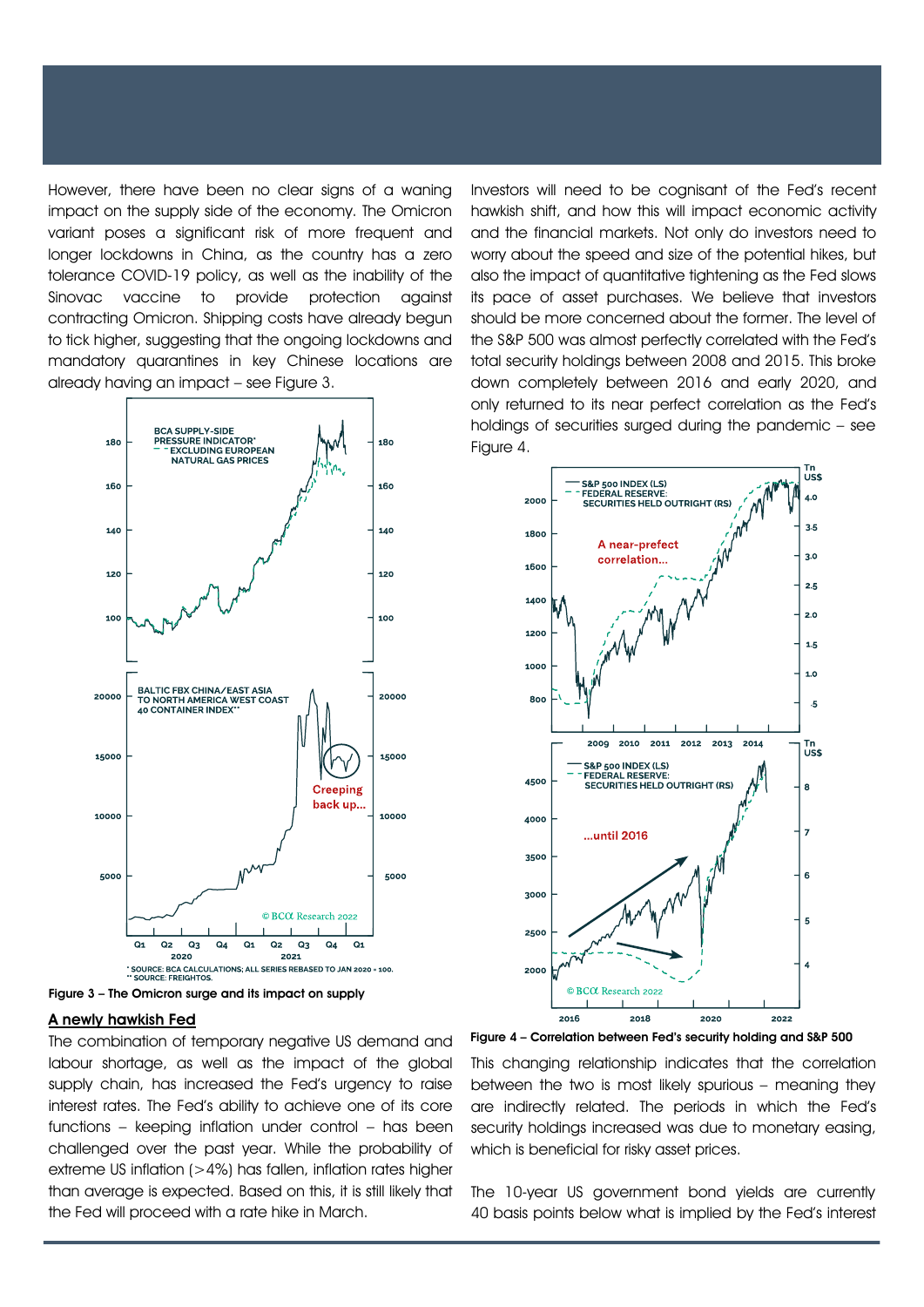However, there have been no clear signs of a waning impact on the supply side of the economy. The Omicron variant poses a significant risk of more frequent and longer lockdowns in China, as the country has a zero tolerance COVID-19 policy, as well as the inability of the Sinovac vaccine to provide protection against contracting Omicron. Shipping costs have already begun to tick higher, suggesting that the ongoing lockdowns and mandatory quarantines in key Chinese locations are already having an impact – see Figure 3.



Figure 3 – The Omicron surge and its impact on supply

# A newly hawkish Fed

The combination of temporary negative US demand and labour shortage, as well as the impact of the global supply chain, has increased the Fed's urgency to raise interest rates. The Fed's ability to achieve one of its core functions – keeping inflation under control – has been challenged over the past year. While the probability of extreme US inflation (>4%) has fallen, inflation rates higher than average is expected. Based on this, it is still likely that the Fed will proceed with a rate hike in March.

Investors will need to be cognisant of the Fed's recent hawkish shift, and how this will impact economic activity and the financial markets. Not only do investors need to worry about the speed and size of the potential hikes, but also the impact of quantitative tightening as the Fed slows its pace of asset purchases. We believe that investors should be more concerned about the former. The level of the S&P 500 was almost perfectly correlated with the Fed's total security holdings between 2008 and 2015. This broke down completely between 2016 and early 2020, and only returned to its near perfect correlation as the Fed's holdings of securities surged during the pandemic – see Figure 4.



Figure 4 – Correlation between Fed's security holding and S&P 500

This changing relationship indicates that the correlation between the two is most likely spurious – meaning they are indirectly related. The periods in which the Fed's security holdings increased was due to monetary easing, which is beneficial for risky asset prices.

The 10-year US government bond yields are currently 40 basis points below what is implied by the Fed's interest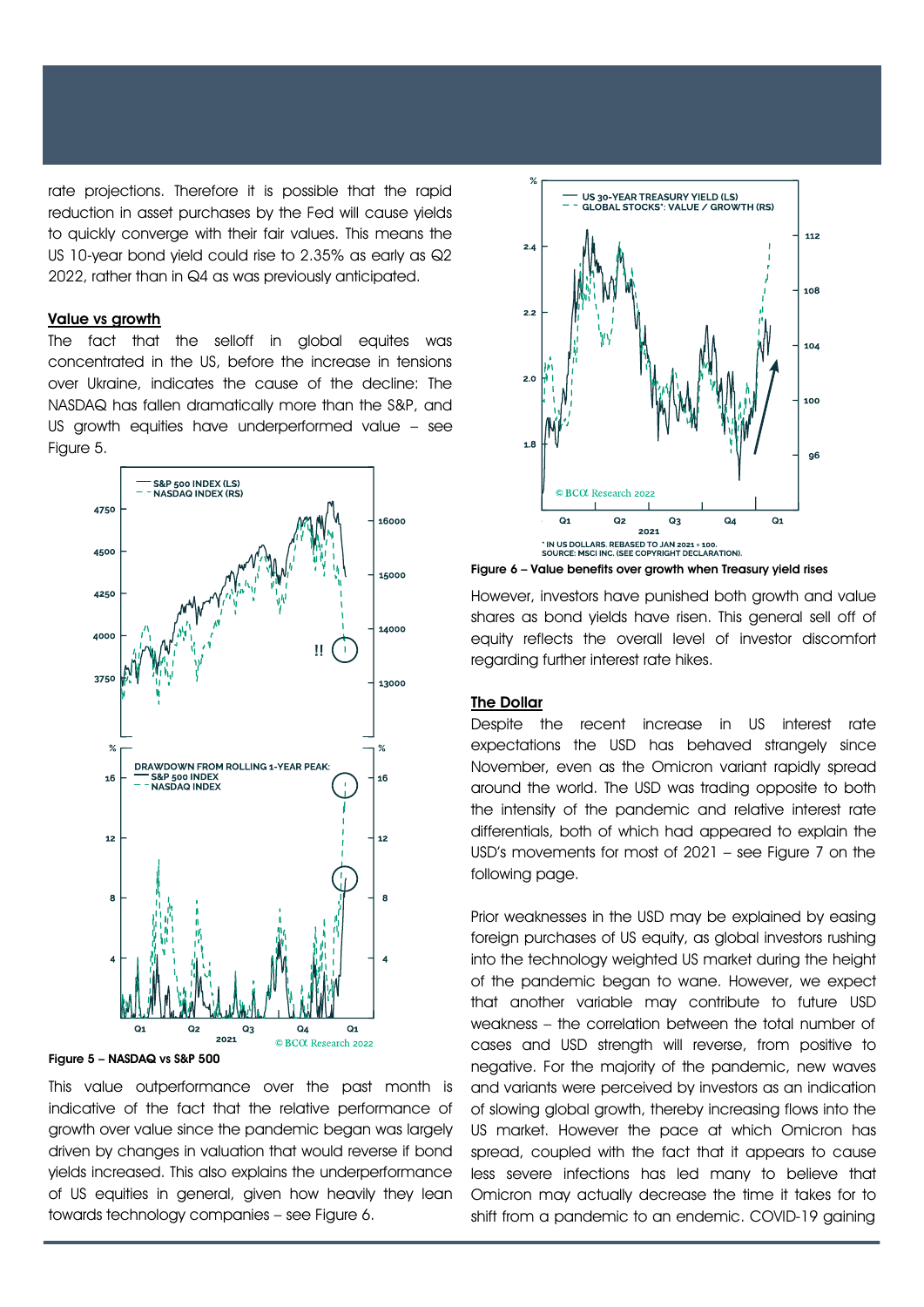rate projections. Therefore it is possible that the rapid reduction in asset purchases by the Fed will cause yields to quickly converge with their fair values. This means the US 10-year bond yield could rise to 2.35% as early as Q2 2022, rather than in Q4 as was previously anticipated.

## Value vs arowth

The fact that the selloff in global equites was concentrated in the US, before the increase in tensions over Ukraine, indicates the cause of the decline: The NASDAQ has fallen dramatically more than the S&P, and US growth equities have underperformed value – see Figure 5.



#### Figure 5 – NASDAQ vs S&P 500

This value outperformance over the past month is indicative of the fact that the relative performance of growth over value since the pandemic began was largely driven by changes in valuation that would reverse if bond yields increased. This also explains the underperformance of US equities in general, given how heavily they lean towards technology companies – see Figure 6.



Figure 6 – Value benefits over growth when Treasury yield rises

However, investors have punished both growth and value shares as bond yields have risen. This general sell off of equity reflects the overall level of investor discomfort regarding further interest rate hikes.

# The Dollar

Despite the recent increase in US interest rate expectations the USD has behaved strangely since November, even as the Omicron variant rapidly spread around the world. The USD was trading opposite to both the intensity of the pandemic and relative interest rate differentials, both of which had appeared to explain the USD's movements for most of 2021 – see Figure 7 on the following page.

Prior weaknesses in the USD may be explained by easing foreign purchases of US equity, as global investors rushing into the technology weighted US market during the height of the pandemic began to wane. However, we expect that another variable may contribute to future USD weakness – the correlation between the total number of cases and USD strength will reverse, from positive to negative. For the majority of the pandemic, new waves and variants were perceived by investors as an indication of slowing global growth, thereby increasing flows into the US market. However the pace at which Omicron has spread, coupled with the fact that it appears to cause less severe infections has led many to believe that Omicron may actually decrease the time it takes for to shift from a pandemic to an endemic. COVID-19 gaining